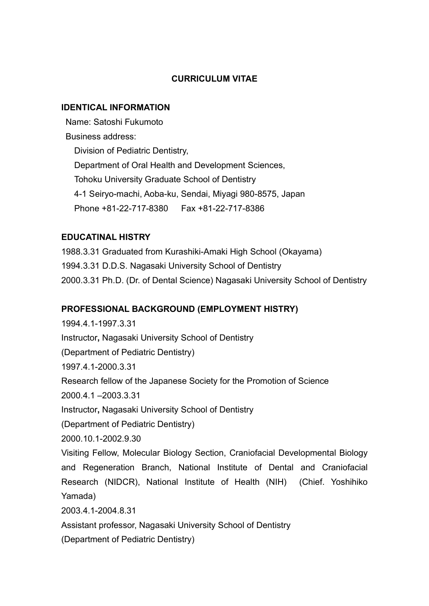## CURRICULUM VITAE

#### IDENTICAL INFORMATION

 Name: Satoshi Fukumoto Business address: Division of Pediatric Dentistry, Department of Oral Health and Development Sciences, Tohoku University Graduate School of Dentistry 4-1 Seiryo-machi, Aoba-ku, Sendai, Miyagi 980-8575, Japan Phone +81-22-717-8380 Fax +81-22-717-8386

### EDUCATINAL HISTRY

1988.3.31 Graduated from Kurashiki-Amaki High School (Okayama) 1994.3.31 D.D.S. Nagasaki University School of Dentistry 2000.3.31 Ph.D. (Dr. of Dental Science) Nagasaki University School of Dentistry

### PROFESSIONAL BACKGROUND (EMPLOYMENT HISTRY)

1994.4.1-1997.3.31 Instructor, Nagasaki University School of Dentistry (Department of Pediatric Dentistry) 1997.4.1-2000.3.31 Research fellow of the Japanese Society for the Promotion of Science 2000.4.1 –2003.3.31 Instructor, Nagasaki University School of Dentistry (Department of Pediatric Dentistry) 2000.10.1-2002.9.30 Visiting Fellow, Molecular Biology Section, Craniofacial Developmental Biology and Regeneration Branch, National Institute of Dental and Craniofacial Research (NIDCR), National Institute of Health (NIH) (Chief. Yoshihiko Yamada) 2003.4.1-2004.8.31 Assistant professor, Nagasaki University School of Dentistry

(Department of Pediatric Dentistry)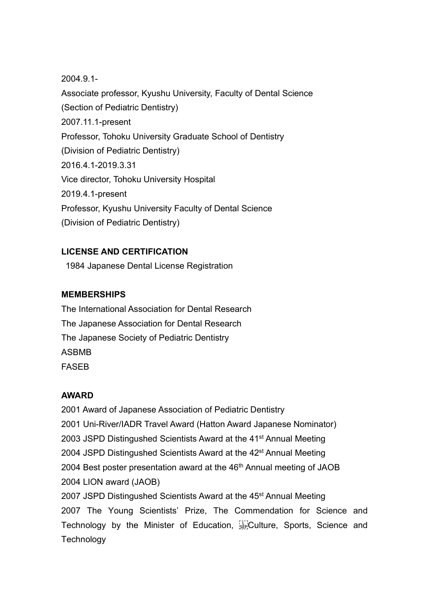2004.9.1- Associate professor, Kyushu University, Faculty of Dental Science (Section of Pediatric Dentistry) 2007.11.1-present Professor, Tohoku University Graduate School of Dentistry (Division of Pediatric Dentistry) 2016.4.1-2019.3.31 Vice director, Tohoku University Hospital 2019.4.1-present Professor, Kyushu University Faculty of Dental Science (Division of Pediatric Dentistry)

# LICENSE AND CERTIFICATION

1984 Japanese Dental License Registration

## MEMBERSHIPS

The International Association for Dental Research The Japanese Association for Dental Research The Japanese Society of Pediatric Dentistry ASBMB FASEB

### AWARD

2001 Award of Japanese Association of Pediatric Dentistry 2001 Uni-River/IADR Travel Award (Hatton Award Japanese Nominator) 2003 JSPD Distingushed Scientists Award at the 41<sup>st</sup> Annual Meeting 2004 JSPD Distingushed Scientists Award at the 42<sup>st</sup> Annual Meeting 2004 Best poster presentation award at the 46<sup>th</sup> Annual meeting of JAOB 2004 LION award (JAOB) 2007 JSPD Distingushed Scientists Award at the 45<sup>st</sup> Annual Meeting 2007 The Young Scientists' Prize, The Commendation for Science and Technology by the Minister of Education, Fill Culture, Sports, Science and **Technology**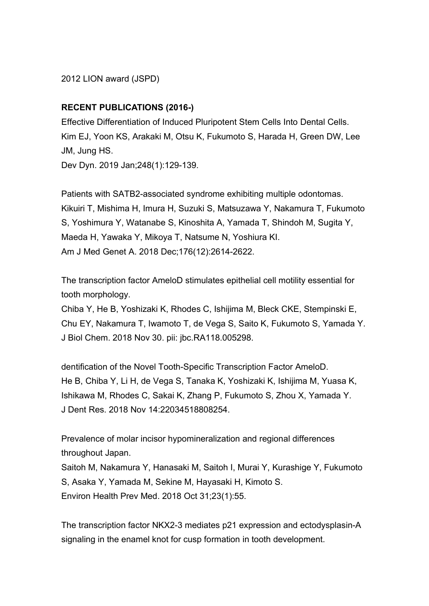2012 LION award (JSPD)

## RECENT PUBLICATIONS (2016-)

Effective Differentiation of Induced Pluripotent Stem Cells Into Dental Cells. Kim EJ, Yoon KS, Arakaki M, Otsu K, Fukumoto S, Harada H, Green DW, Lee JM, Jung HS.

Dev Dyn. 2019 Jan;248(1):129-139.

Patients with SATB2-associated syndrome exhibiting multiple odontomas. Kikuiri T, Mishima H, Imura H, Suzuki S, Matsuzawa Y, Nakamura T, Fukumoto S, Yoshimura Y, Watanabe S, Kinoshita A, Yamada T, Shindoh M, Sugita Y, Maeda H, Yawaka Y, Mikoya T, Natsume N, Yoshiura KI. Am J Med Genet A. 2018 Dec;176(12):2614-2622.

The transcription factor AmeloD stimulates epithelial cell motility essential for tooth morphology.

Chiba Y, He B, Yoshizaki K, Rhodes C, Ishijima M, Bleck CKE, Stempinski E, Chu EY, Nakamura T, Iwamoto T, de Vega S, Saito K, Fukumoto S, Yamada Y. J Biol Chem. 2018 Nov 30. pii: jbc.RA118.005298.

dentification of the Novel Tooth-Specific Transcription Factor AmeloD. He B, Chiba Y, Li H, de Vega S, Tanaka K, Yoshizaki K, Ishijima M, Yuasa K, Ishikawa M, Rhodes C, Sakai K, Zhang P, Fukumoto S, Zhou X, Yamada Y. J Dent Res. 2018 Nov 14:22034518808254.

Prevalence of molar incisor hypomineralization and regional differences throughout Japan. Saitoh M, Nakamura Y, Hanasaki M, Saitoh I, Murai Y, Kurashige Y, Fukumoto

S, Asaka Y, Yamada M, Sekine M, Hayasaki H, Kimoto S.

Environ Health Prev Med. 2018 Oct 31;23(1):55.

The transcription factor NKX2-3 mediates p21 expression and ectodysplasin-A signaling in the enamel knot for cusp formation in tooth development.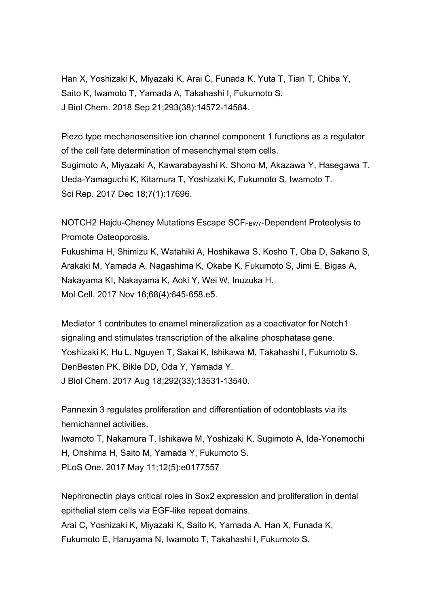Han X, Yoshizaki K, Miyazaki K, Arai C, Funada K, Yuta T, Tian T, Chiba Y, Saito K, Iwamoto T, Yamada A, Takahashi I, Fukumoto S. J Biol Chem. 2018 Sep 21;293(38):14572-14584.

Piezo type mechanosensitive ion channel component 1 functions as a regulator of the cell fate determination of mesenchymal stem cells. Sugimoto A, Miyazaki A, Kawarabayashi K, Shono M, Akazawa Y, Hasegawa T, Ueda-Yamaguchi K, Kitamura T, Yoshizaki K, Fukumoto S, Iwamoto T. Sci Rep. 2017 Dec 18;7(1):17696.

NOTCH2 Hajdu-Cheney Mutations Escape SCFFBW7-Dependent Proteolysis to Promote Osteoporosis.

Fukushima H, Shimizu K, Watahiki A, Hoshikawa S, Kosho T, Oba D, Sakano S, Arakaki M, Yamada A, Nagashima K, Okabe K, Fukumoto S, Jimi E, Bigas A, Nakayama KI, Nakayama K, Aoki Y, Wei W, Inuzuka H. Mol Cell. 2017 Nov 16;68(4):645-658.e5.

Mediator 1 contributes to enamel mineralization as a coactivator for Notch1 signaling and stimulates transcription of the alkaline phosphatase gene. Yoshizaki K, Hu L, Nguyen T, Sakai K, Ishikawa M, Takahashi I, Fukumoto S, DenBesten PK, Bikle DD, Oda Y, Yamada Y. J Biol Chem. 2017 Aug 18;292(33):13531-13540.

Pannexin 3 regulates proliferation and differentiation of odontoblasts via its hemichannel activities.

Iwamoto T, Nakamura T, Ishikawa M, Yoshizaki K, Sugimoto A, Ida-Yonemochi H, Ohshima H, Saito M, Yamada Y, Fukumoto S. PLoS One. 2017 May 11;12(5):e0177557

Nephronectin plays critical roles in Sox2 expression and proliferation in dental epithelial stem cells via EGF-like repeat domains.

Arai C, Yoshizaki K, Miyazaki K, Saito K, Yamada A, Han X, Funada K, Fukumoto E, Haruyama N, Iwamoto T, Takahashi I, Fukumoto S.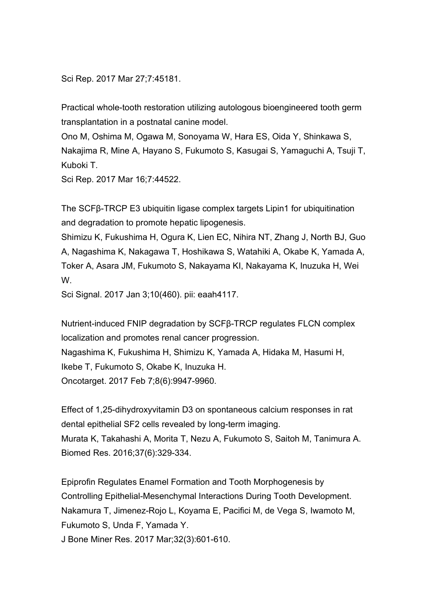Sci Rep. 2017 Mar 27;7:45181.

Practical whole-tooth restoration utilizing autologous bioengineered tooth germ transplantation in a postnatal canine model.

Ono M, Oshima M, Ogawa M, Sonoyama W, Hara ES, Oida Y, Shinkawa S, Nakajima R, Mine A, Hayano S, Fukumoto S, Kasugai S, Yamaguchi A, Tsuji T, Kuboki T.

Sci Rep. 2017 Mar 16;7:44522.

The SCFβ-TRCP E3 ubiquitin ligase complex targets Lipin1 for ubiquitination and degradation to promote hepatic lipogenesis.

Shimizu K, Fukushima H, Ogura K, Lien EC, Nihira NT, Zhang J, North BJ, Guo A, Nagashima K, Nakagawa T, Hoshikawa S, Watahiki A, Okabe K, Yamada A, Toker A, Asara JM, Fukumoto S, Nakayama KI, Nakayama K, Inuzuka H, Wei W.

Sci Signal. 2017 Jan 3;10(460). pii: eaah4117.

Nutrient-induced FNIP degradation by SCFβ-TRCP regulates FLCN complex localization and promotes renal cancer progression. Nagashima K, Fukushima H, Shimizu K, Yamada A, Hidaka M, Hasumi H, Ikebe T, Fukumoto S, Okabe K, Inuzuka H. Oncotarget. 2017 Feb 7;8(6):9947-9960.

Effect of 1,25-dihydroxyvitamin D3 on spontaneous calcium responses in rat dental epithelial SF2 cells revealed by long-term imaging. Murata K, Takahashi A, Morita T, Nezu A, Fukumoto S, Saitoh M, Tanimura A. Biomed Res. 2016;37(6):329-334.

Epiprofin Regulates Enamel Formation and Tooth Morphogenesis by Controlling Epithelial-Mesenchymal Interactions During Tooth Development. Nakamura T, Jimenez-Rojo L, Koyama E, Pacifici M, de Vega S, Iwamoto M, Fukumoto S, Unda F, Yamada Y.

J Bone Miner Res. 2017 Mar;32(3):601-610.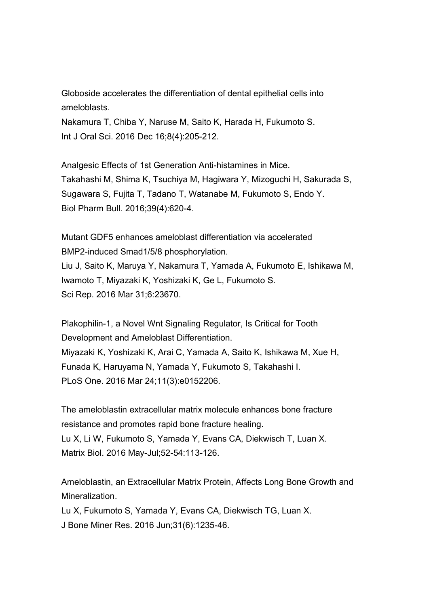Globoside accelerates the differentiation of dental epithelial cells into ameloblasts.

Nakamura T, Chiba Y, Naruse M, Saito K, Harada H, Fukumoto S. Int J Oral Sci. 2016 Dec 16;8(4):205-212.

Analgesic Effects of 1st Generation Anti-histamines in Mice. Takahashi M, Shima K, Tsuchiya M, Hagiwara Y, Mizoguchi H, Sakurada S, Sugawara S, Fujita T, Tadano T, Watanabe M, Fukumoto S, Endo Y. Biol Pharm Bull. 2016;39(4):620-4.

Mutant GDF5 enhances ameloblast differentiation via accelerated BMP2-induced Smad1/5/8 phosphorylation. Liu J, Saito K, Maruya Y, Nakamura T, Yamada A, Fukumoto E, Ishikawa M, Iwamoto T, Miyazaki K, Yoshizaki K, Ge L, Fukumoto S. Sci Rep. 2016 Mar 31;6:23670.

Plakophilin-1, a Novel Wnt Signaling Regulator, Is Critical for Tooth Development and Ameloblast Differentiation. Miyazaki K, Yoshizaki K, Arai C, Yamada A, Saito K, Ishikawa M, Xue H, Funada K, Haruyama N, Yamada Y, Fukumoto S, Takahashi I. PLoS One. 2016 Mar 24;11(3):e0152206.

The ameloblastin extracellular matrix molecule enhances bone fracture resistance and promotes rapid bone fracture healing. Lu X, Li W, Fukumoto S, Yamada Y, Evans CA, Diekwisch T, Luan X. Matrix Biol. 2016 May-Jul;52-54:113-126.

Ameloblastin, an Extracellular Matrix Protein, Affects Long Bone Growth and Mineralization.

Lu X, Fukumoto S, Yamada Y, Evans CA, Diekwisch TG, Luan X. J Bone Miner Res. 2016 Jun;31(6):1235-46.